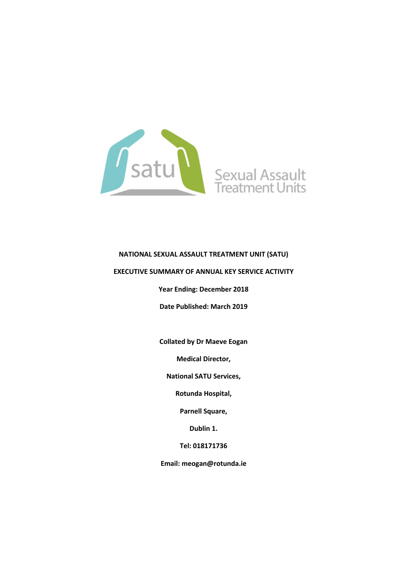

### **NATIONAL SEXUAL ASSAULT TREATMENT UNIT (SATU)**

#### **EXECUTIVE SUMMARY OF ANNUAL KEY SERVICE ACTIVITY**

**Year Ending: December 2018**

**Date Published: March 2019**

**Collated by Dr Maeve Eogan**

**Medical Director,**

**National SATU Services,**

**Rotunda Hospital,**

**Parnell Square,**

**Dublin 1.**

**Tel: 018171736**

**Email: meogan@rotunda.ie**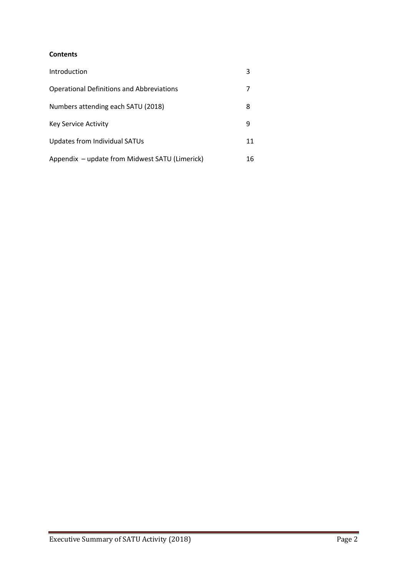### **Contents**

| Introduction                                     | 3  |
|--------------------------------------------------|----|
| <b>Operational Definitions and Abbreviations</b> |    |
| Numbers attending each SATU (2018)               | 8  |
| <b>Key Service Activity</b>                      | 9  |
| Updates from Individual SATUs                    | 11 |
| Appendix – update from Midwest SATU (Limerick)   | 16 |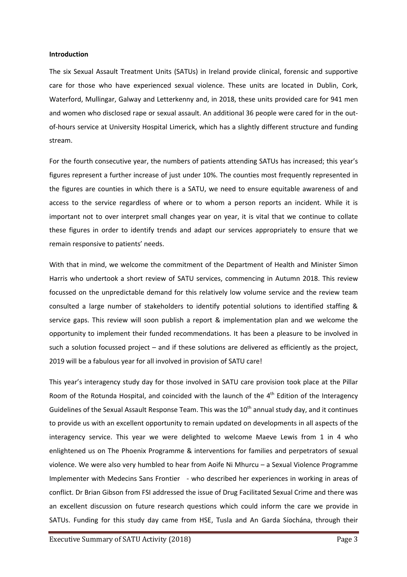#### **Introduction**

The six Sexual Assault Treatment Units (SATUs) in Ireland provide clinical, forensic and supportive care for those who have experienced sexual violence. These units are located in Dublin, Cork, Waterford, Mullingar, Galway and Letterkenny and, in 2018, these units provided care for 941 men and women who disclosed rape or sexual assault. An additional 36 people were cared for in the outof-hours service at University Hospital Limerick, which has a slightly different structure and funding stream.

For the fourth consecutive year, the numbers of patients attending SATUs has increased; this year's figures represent a further increase of just under 10%. The counties most frequently represented in the figures are counties in which there is a SATU, we need to ensure equitable awareness of and access to the service regardless of where or to whom a person reports an incident. While it is important not to over interpret small changes year on year, it is vital that we continue to collate these figures in order to identify trends and adapt our services appropriately to ensure that we remain responsive to patients' needs.

With that in mind, we welcome the commitment of the Department of Health and Minister Simon Harris who undertook a short review of SATU services, commencing in Autumn 2018. This review focussed on the unpredictable demand for this relatively low volume service and the review team consulted a large number of stakeholders to identify potential solutions to identified staffing & service gaps. This review will soon publish a report & implementation plan and we welcome the opportunity to implement their funded recommendations. It has been a pleasure to be involved in such a solution focussed project – and if these solutions are delivered as efficiently as the project, 2019 will be a fabulous year for all involved in provision of SATU care!

This year's interagency study day for those involved in SATU care provision took place at the Pillar Room of the Rotunda Hospital, and coincided with the launch of the 4<sup>th</sup> Edition of the Interagency Guidelines of the Sexual Assault Response Team. This was the 10<sup>th</sup> annual study day, and it continues to provide us with an excellent opportunity to remain updated on developments in all aspects of the interagency service. This year we were delighted to welcome Maeve Lewis from 1 in 4 who enlightened us on The Phoenix Programme & interventions for families and perpetrators of sexual violence. We were also very humbled to hear from Aoife Ni Mhurcu – a Sexual Violence Programme Implementer with Medecins Sans Frontier - who described her experiences in working in areas of conflict. Dr Brian Gibson from FSI addressed the issue of Drug Facilitated Sexual Crime and there was an excellent discussion on future research questions which could inform the care we provide in SATUs. Funding for this study day came from HSE, Tusla and An Garda Síochána, through their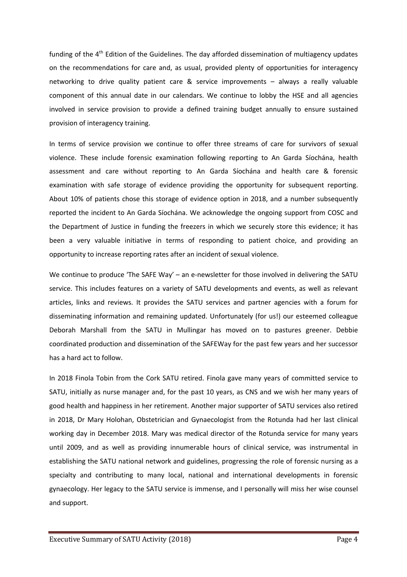funding of the 4<sup>th</sup> Edition of the Guidelines. The day afforded dissemination of multiagency updates on the recommendations for care and, as usual, provided plenty of opportunities for interagency networking to drive quality patient care & service improvements – always a really valuable component of this annual date in our calendars. We continue to lobby the HSE and all agencies involved in service provision to provide a defined training budget annually to ensure sustained provision of interagency training.

In terms of service provision we continue to offer three streams of care for survivors of sexual violence. These include forensic examination following reporting to An Garda Síochána, health assessment and care without reporting to An Garda Síochána and health care & forensic examination with safe storage of evidence providing the opportunity for subsequent reporting. About 10% of patients chose this storage of evidence option in 2018, and a number subsequently reported the incident to An Garda Síochána. We acknowledge the ongoing support from COSC and the Department of Justice in funding the freezers in which we securely store this evidence; it has been a very valuable initiative in terms of responding to patient choice, and providing an opportunity to increase reporting rates after an incident of sexual violence.

We continue to produce 'The SAFE Way' – an e-newsletter for those involved in delivering the SATU service. This includes features on a variety of SATU developments and events, as well as relevant articles, links and reviews. It provides the SATU services and partner agencies with a forum for disseminating information and remaining updated. Unfortunately (for us!) our esteemed colleague Deborah Marshall from the SATU in Mullingar has moved on to pastures greener. Debbie coordinated production and dissemination of the SAFEWay for the past few years and her successor has a hard act to follow.

In 2018 Finola Tobin from the Cork SATU retired. Finola gave many years of committed service to SATU, initially as nurse manager and, for the past 10 years, as CNS and we wish her many years of good health and happiness in her retirement. Another major supporter of SATU services also retired in 2018, Dr Mary Holohan, Obstetrician and Gynaecologist from the Rotunda had her last clinical working day in December 2018. Mary was medical director of the Rotunda service for many years until 2009, and as well as providing innumerable hours of clinical service, was instrumental in establishing the SATU national network and guidelines, progressing the role of forensic nursing as a specialty and contributing to many local, national and international developments in forensic gynaecology. Her legacy to the SATU service is immense, and I personally will miss her wise counsel and support.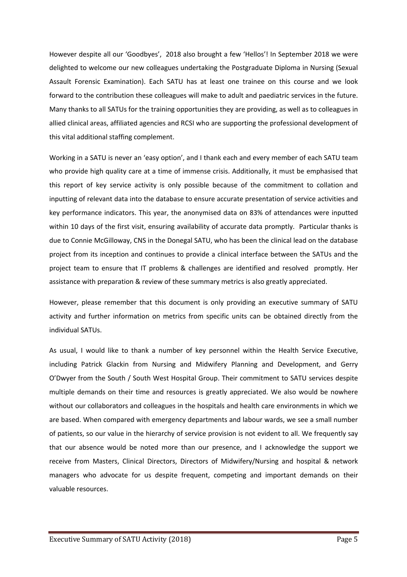However despite all our 'Goodbyes', 2018 also brought a few 'Hellos'! In September 2018 we were delighted to welcome our new colleagues undertaking the Postgraduate Diploma in Nursing (Sexual Assault Forensic Examination). Each SATU has at least one trainee on this course and we look forward to the contribution these colleagues will make to adult and paediatric services in the future. Many thanks to all SATUs for the training opportunities they are providing, as well as to colleagues in allied clinical areas, affiliated agencies and RCSI who are supporting the professional development of this vital additional staffing complement.

Working in a SATU is never an 'easy option', and I thank each and every member of each SATU team who provide high quality care at a time of immense crisis. Additionally, it must be emphasised that this report of key service activity is only possible because of the commitment to collation and inputting of relevant data into the database to ensure accurate presentation of service activities and key performance indicators. This year, the anonymised data on 83% of attendances were inputted within 10 days of the first visit, ensuring availability of accurate data promptly. Particular thanks is due to Connie McGilloway, CNS in the Donegal SATU, who has been the clinical lead on the database project from its inception and continues to provide a clinical interface between the SATUs and the project team to ensure that IT problems & challenges are identified and resolved promptly. Her assistance with preparation & review of these summary metrics is also greatly appreciated.

However, please remember that this document is only providing an executive summary of SATU activity and further information on metrics from specific units can be obtained directly from the individual SATUs.

As usual, I would like to thank a number of key personnel within the Health Service Executive, including Patrick Glackin from Nursing and Midwifery Planning and Development, and Gerry O'Dwyer from the South / South West Hospital Group. Their commitment to SATU services despite multiple demands on their time and resources is greatly appreciated. We also would be nowhere without our collaborators and colleagues in the hospitals and health care environments in which we are based. When compared with emergency departments and labour wards, we see a small number of patients, so our value in the hierarchy of service provision is not evident to all. We frequently say that our absence would be noted more than our presence, and I acknowledge the support we receive from Masters, Clinical Directors, Directors of Midwifery/Nursing and hospital & network managers who advocate for us despite frequent, competing and important demands on their valuable resources.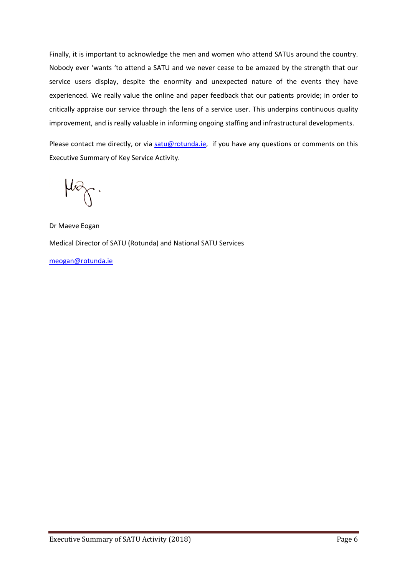Finally, it is important to acknowledge the men and women who attend SATUs around the country. Nobody ever 'wants 'to attend a SATU and we never cease to be amazed by the strength that our service users display, despite the enormity and unexpected nature of the events they have experienced. We really value the online and paper feedback that our patients provide; in order to critically appraise our service through the lens of a service user. This underpins continuous quality improvement, and is really valuable in informing ongoing staffing and infrastructural developments.

Please contact me directly, or via satu@rotunda.ie, if you have any questions or comments on this Executive Summary of Key Service Activity.

 $\omega_{\!\chi}$ .

Dr Maeve Eogan Medical Director of SATU (Rotunda) and National SATU Services

meogan@rotunda.ie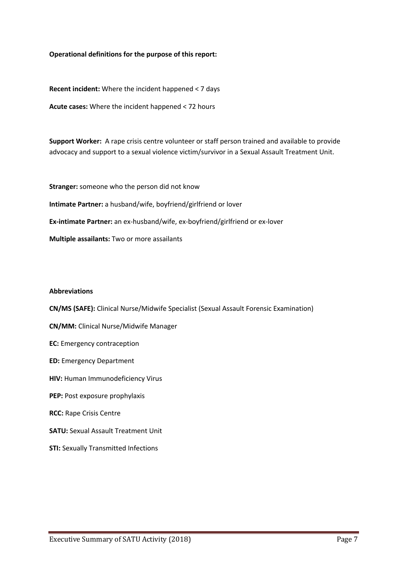### **Operational definitions for the purpose of this report:**

**Recent incident:** Where the incident happened < 7 days

**Acute cases:** Where the incident happened < 72 hours

**Support Worker:** A rape crisis centre volunteer or staff person trained and available to provide advocacy and support to a sexual violence victim/survivor in a Sexual Assault Treatment Unit.

**Stranger:** someone who the person did not know **Intimate Partner:** a husband/wife, boyfriend/girlfriend or lover **Ex-intimate Partner:** an ex-husband/wife, ex-boyfriend/girlfriend or ex-lover **Multiple assailants:** Two or more assailants

#### **Abbreviations**

**CN/MS (SAFE):** Clinical Nurse/Midwife Specialist (Sexual Assault Forensic Examination)

- **CN/MM:** Clinical Nurse/Midwife Manager
- **EC:** Emergency contraception
- **ED:** Emergency Department
- **HIV:** Human Immunodeficiency Virus
- **PEP:** Post exposure prophylaxis
- **RCC:** Rape Crisis Centre
- **SATU:** Sexual Assault Treatment Unit
- **STI:** Sexually Transmitted Infections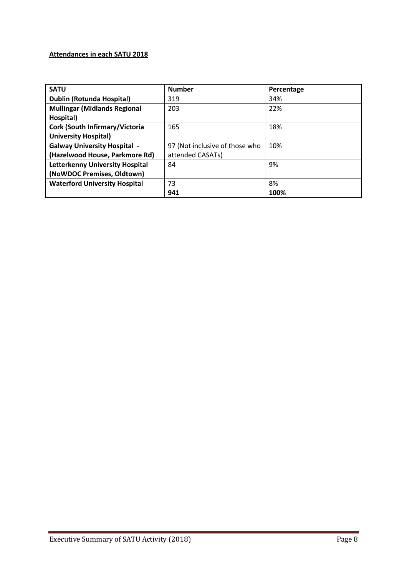# **Attendances in each SATU 2018**

| <b>SATU</b>                            | <b>Number</b>                  | Percentage |
|----------------------------------------|--------------------------------|------------|
| <b>Dublin (Rotunda Hospital)</b>       | 319                            | 34%        |
| <b>Mullingar (Midlands Regional</b>    | 203                            | 22%        |
| Hospital)                              |                                |            |
| Cork (South Infirmary/Victoria         | 165                            | 18%        |
| <b>University Hospital)</b>            |                                |            |
| <b>Galway University Hospital -</b>    | 97 (Not inclusive of those who | 10%        |
| (Hazelwood House, Parkmore Rd)         | attended CASATs)               |            |
| <b>Letterkenny University Hospital</b> | 84                             | 9%         |
| (NoWDOC Premises, Oldtown)             |                                |            |
| <b>Waterford University Hospital</b>   | 73                             | 8%         |
|                                        | 941                            | 100%       |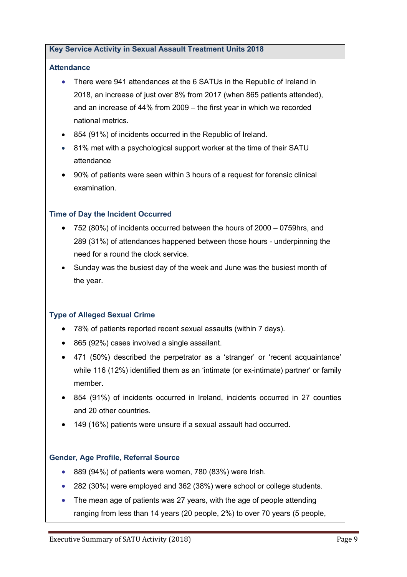### **Key Service Activity in Sexual Assault Treatment Units 2018**

### **Attendance**

- There were 941 attendances at the 6 SATUs in the Republic of Ireland in 2018, an increase of just over 8% from 2017 (when 865 patients attended), and an increase of 44% from 2009 – the first year in which we recorded national metrics.
- 854 (91%) of incidents occurred in the Republic of Ireland.
- 81% met with a psychological support worker at the time of their SATU attendance
- 90% of patients were seen within 3 hours of a request for forensic clinical examination.

## **Time of Day the Incident Occurred**

- 752 (80%) of incidents occurred between the hours of 2000 0759hrs, and 289 (31%) of attendances happened between those hours - underpinning the need for a round the clock service.
- Sunday was the busiest day of the week and June was the busiest month of the year.

# **Type of Alleged Sexual Crime**

- 78% of patients reported recent sexual assaults (within 7 days).
- 865 (92%) cases involved a single assailant.
- 471 (50%) described the perpetrator as a 'stranger' or 'recent acquaintance' while 116 (12%) identified them as an 'intimate (or ex-intimate) partner' or family member.
- 854 (91%) of incidents occurred in Ireland, incidents occurred in 27 counties and 20 other countries.
- 149 (16%) patients were unsure if a sexual assault had occurred.

### **Gender, Age Profile, Referral Source**

- 889 (94%) of patients were women, 780 (83%) were Irish.
- 282 (30%) were employed and 362 (38%) were school or college students.
- The mean age of patients was 27 years, with the age of people attending ranging from less than 14 years (20 people, 2%) to over 70 years (5 people,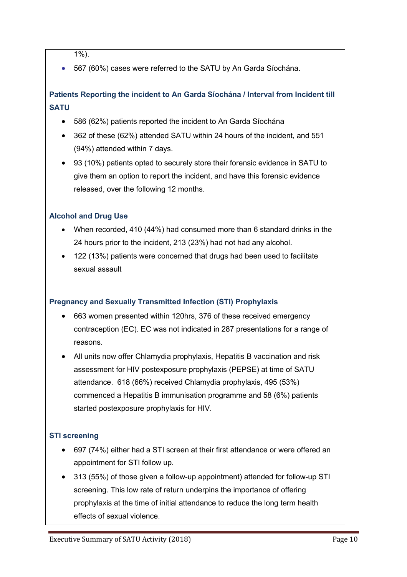$\overline{1\%}$ ).

• 567 (60%) cases were referred to the SATU by An Garda Síochána.

# **Patients Reporting the incident to An Garda Síochána / Interval from Incident till SATU**

- 586 (62%) patients reported the incident to An Garda Síochána
- 362 of these (62%) attended SATU within 24 hours of the incident, and 551 (94%) attended within 7 days.
- 93 (10%) patients opted to securely store their forensic evidence in SATU to give them an option to report the incident, and have this forensic evidence released, over the following 12 months.

# **Alcohol and Drug Use**

- When recorded, 410 (44%) had consumed more than 6 standard drinks in the 24 hours prior to the incident, 213 (23%) had not had any alcohol.
- 122 (13%) patients were concerned that drugs had been used to facilitate sexual assault

# **Pregnancy and Sexually Transmitted Infection (STI) Prophylaxis**

- 663 women presented within 120hrs, 376 of these received emergency contraception (EC). EC was not indicated in 287 presentations for a range of reasons.
- All units now offer Chlamydia prophylaxis, Hepatitis B vaccination and risk assessment for HIV postexposure prophylaxis (PEPSE) at time of SATU attendance. 618 (66%) received Chlamydia prophylaxis, 495 (53%) commenced a Hepatitis B immunisation programme and 58 (6%) patients started postexposure prophylaxis for HIV.

# **STI screening**

- 697 (74%) either had a STI screen at their first attendance or were offered an appointment for STI follow up.
- 313 (55%) of those given a follow-up appointment) attended for follow-up STI screening. This low rate of return underpins the importance of offering prophylaxis at the time of initial attendance to reduce the long term health effects of sexual violence.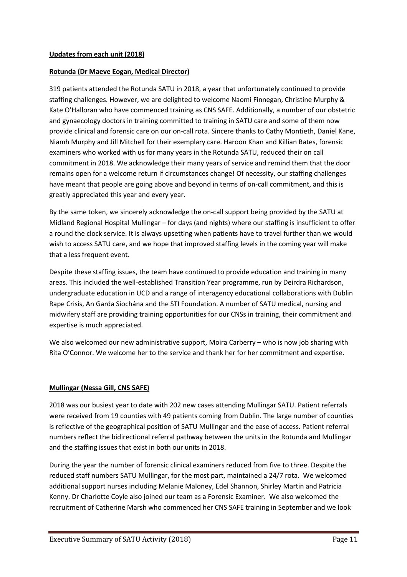### **Rotunda (Dr Maeve Eogan, Medical Director)**

319 patients attended the Rotunda SATU in 2018, a year that unfortunately continued to provide staffing challenges. However, we are delighted to welcome Naomi Finnegan, Christine Murphy & Kate O'Halloran who have commenced training as CNS SAFE. Additionally, a number of our obstetric and gynaecology doctors in training committed to training in SATU care and some of them now provide clinical and forensic care on our on-call rota. Sincere thanks to Cathy Montieth, Daniel Kane, Niamh Murphy and Jill Mitchell for their exemplary care. Haroon Khan and Killian Bates, forensic examiners who worked with us for many years in the Rotunda SATU, reduced their on call commitment in 2018. We acknowledge their many years of service and remind them that the door remains open for a welcome return if circumstances change! Of necessity, our staffing challenges have meant that people are going above and beyond in terms of on-call commitment, and this is greatly appreciated this year and every year.

By the same token, we sincerely acknowledge the on-call support being provided by the SATU at Midland Regional Hospital Mullingar – for days (and nights) where our staffing is insufficient to offer a round the clock service. It is always upsetting when patients have to travel further than we would wish to access SATU care, and we hope that improved staffing levels in the coming year will make that a less frequent event.

Despite these staffing issues, the team have continued to provide education and training in many areas. This included the well-established Transition Year programme, run by Deirdra Richardson, undergraduate education in UCD and a range of interagency educational collaborations with Dublin Rape Crisis, An Garda Síochána and the STI Foundation. A number of SATU medical, nursing and midwifery staff are providing training opportunities for our CNSs in training, their commitment and expertise is much appreciated.

We also welcomed our new administrative support, Moira Carberry – who is now job sharing with Rita O'Connor. We welcome her to the service and thank her for her commitment and expertise.

### **Mullingar (Nessa Gill, CNS SAFE)**

2018 was our busiest year to date with 202 new cases attending Mullingar SATU. Patient referrals were received from 19 counties with 49 patients coming from Dublin. The large number of counties is reflective of the geographical position of SATU Mullingar and the ease of access. Patient referral numbers reflect the bidirectional referral pathway between the units in the Rotunda and Mullingar and the staffing issues that exist in both our units in 2018.

During the year the number of forensic clinical examiners reduced from five to three. Despite the reduced staff numbers SATU Mullingar, for the most part, maintained a 24/7 rota. We welcomed additional support nurses including Melanie Maloney, Edel Shannon, Shirley Martin and Patricia Kenny. Dr Charlotte Coyle also joined our team as a Forensic Examiner. We also welcomed the recruitment of Catherine Marsh who commenced her CNS SAFE training in September and we look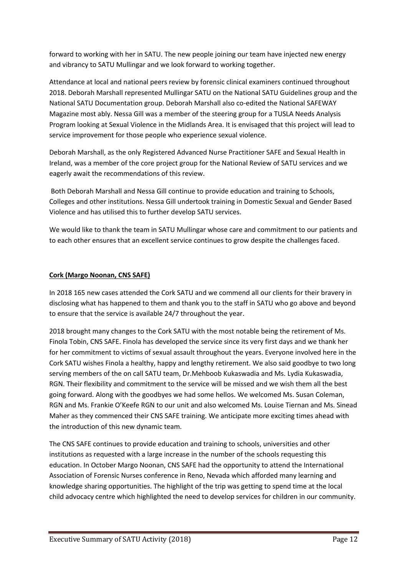forward to working with her in SATU. The new people joining our team have injected new energy and vibrancy to SATU Mullingar and we look forward to working together.

Attendance at local and national peers review by forensic clinical examiners continued throughout 2018. Deborah Marshall represented Mullingar SATU on the National SATU Guidelines group and the National SATU Documentation group. Deborah Marshall also co-edited the National SAFEWAY Magazine most ably. Nessa Gill was a member of the steering group for a TUSLA Needs Analysis Program looking at Sexual Violence in the Midlands Area. It is envisaged that this project will lead to service improvement for those people who experience sexual violence.

Deborah Marshall, as the only Registered Advanced Nurse Practitioner SAFE and Sexual Health in Ireland, was a member of the core project group for the National Review of SATU services and we eagerly await the recommendations of this review.

Both Deborah Marshall and Nessa Gill continue to provide education and training to Schools, Colleges and other institutions. Nessa Gill undertook training in Domestic Sexual and Gender Based Violence and has utilised this to further develop SATU services.

We would like to thank the team in SATU Mullingar whose care and commitment to our patients and to each other ensures that an excellent service continues to grow despite the challenges faced.

## **Cork (Margo Noonan, CNS SAFE)**

In 2018 165 new cases attended the Cork SATU and we commend all our clients for their bravery in disclosing what has happened to them and thank you to the staff in SATU who go above and beyond to ensure that the service is available 24/7 throughout the year.

2018 brought many changes to the Cork SATU with the most notable being the retirement of Ms. Finola Tobin, CNS SAFE. Finola has developed the service since its very first days and we thank her for her commitment to victims of sexual assault throughout the years. Everyone involved here in the Cork SATU wishes Finola a healthy, happy and lengthy retirement. We also said goodbye to two long serving members of the on call SATU team, Dr.Mehboob Kukaswadia and Ms. Lydia Kukaswadia, RGN. Their flexibility and commitment to the service will be missed and we wish them all the best going forward. Along with the goodbyes we had some hellos. We welcomed Ms. Susan Coleman, RGN and Ms. Frankie O'Keefe RGN to our unit and also welcomed Ms. Louise Tiernan and Ms. Sinead Maher as they commenced their CNS SAFE training. We anticipate more exciting times ahead with the introduction of this new dynamic team.

The CNS SAFE continues to provide education and training to schools, universities and other institutions as requested with a large increase in the number of the schools requesting this education. In October Margo Noonan, CNS SAFE had the opportunity to attend the International Association of Forensic Nurses conference in Reno, Nevada which afforded many learning and knowledge sharing opportunities. The highlight of the trip was getting to spend time at the local child advocacy centre which highlighted the need to develop services for children in our community.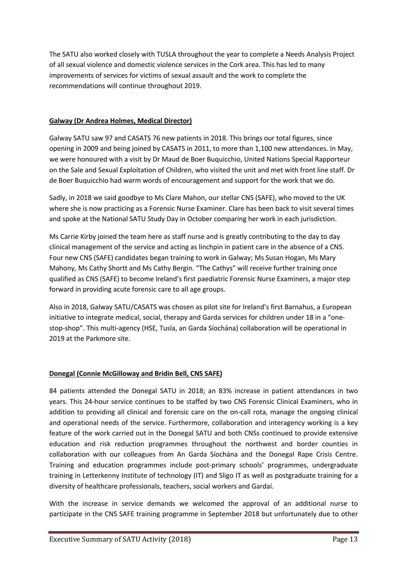The SATU also worked closely with TUSLA throughout the year to complete a Needs Analysis Project of all sexual violence and domestic violence services in the Cork area. This has led to many improvements of services for victims of sexual assault and the work to complete the recommendations will continue throughout 2019.

## **Galway (Dr Andrea Holmes, Medical Director)**

Galway SATU saw 97 and CASATS 76 new patients in 2018. This brings our total figures, since opening in 2009 and being joined by CASATS in 2011, to more than 1,100 new attendances. In May, we were honoured with a visit by Dr Maud de Boer Buquicchio, United Nations Special Rapporteur on the Sale and Sexual Exploitation of Children, who visited the unit and met with front line staff. Dr de Boer Buquicchio had warm words of encouragement and support for the work that we do.

Sadly, in 2018 we said goodbye to Ms Clare Mahon, our stellar CNS (SAFE), who moved to the UK where she is now practicing as a Forensic Nurse Examiner. Clare has been back to visit several times and spoke at the National SATU Study Day in October comparing her work in each jurisdiction.

Ms Carrie Kirby joined the team here as staff nurse and is greatly contributing to the day to day clinical management of the service and acting as linchpin in patient care in the absence of a CNS. Four new CNS (SAFE) candidates began training to work in Galway; Ms Susan Hogan, Ms Mary Mahony, Ms Cathy Shortt and Ms Cathy Bergin. "The Cathys" will receive further training once qualified as CNS (SAFE) to become Ireland's first paediatric Forensic Nurse Examiners, a major step forward in providing acute forensic care to all age groups.

Also in 2018, Galway SATU/CASATS was chosen as pilot site for Ireland's first Barnahus, a European initiative to integrate medical, social, therapy and Garda services for children under 18 in a "onestop-shop". This multi-agency (HSE, Tusla, an Garda Síochána) collaboration will be operational in 2019 at the Parkmore site.

# **Donegal (Connie McGilloway and Bridin Bell, CNS SAFE)**

84 patients attended the Donegal SATU in 2018; an 83% increase in patient attendances in two years. This 24-hour service continues to be staffed by two CNS Forensic Clinical Examiners, who in addition to providing all clinical and forensic care on the on-call rota, manage the ongoing clinical and operational needs of the service. Furthermore, collaboration and interagency working is a key feature of the work carried out in the Donegal SATU and both CNSs continued to provide extensive education and risk reduction programmes throughout the northwest and border counties in collaboration with our colleagues from An Garda Síochána and the Donegal Rape Crisis Centre. Training and education programmes include post-primary schools' programmes, undergraduate training in Letterkenny Institute of technology (IT) and Sligo IT as well as postgraduate training for a diversity of healthcare professionals, teachers, social workers and Gardaí.

With the increase in service demands we welcomed the approval of an additional nurse to participate in the CNS SAFE training programme in September 2018 but unfortunately due to other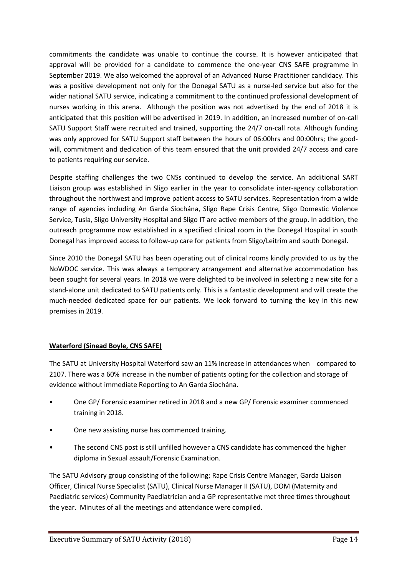commitments the candidate was unable to continue the course. It is however anticipated that approval will be provided for a candidate to commence the one-year CNS SAFE programme in September 2019. We also welcomed the approval of an Advanced Nurse Practitioner candidacy. This was a positive development not only for the Donegal SATU as a nurse-led service but also for the wider national SATU service, indicating a commitment to the continued professional development of nurses working in this arena. Although the position was not advertised by the end of 2018 it is anticipated that this position will be advertised in 2019. In addition, an increased number of on-call SATU Support Staff were recruited and trained, supporting the 24/7 on-call rota. Although funding was only approved for SATU Support staff between the hours of 06:00hrs and 00:00hrs; the goodwill, commitment and dedication of this team ensured that the unit provided 24/7 access and care to patients requiring our service.

Despite staffing challenges the two CNSs continued to develop the service. An additional SART Liaison group was established in Sligo earlier in the year to consolidate inter-agency collaboration throughout the northwest and improve patient access to SATU services. Representation from a wide range of agencies including An Garda Síochána, Sligo Rape Crisis Centre, Sligo Domestic Violence Service, Tusla, Sligo University Hospital and Sligo IT are active members of the group. In addition, the outreach programme now established in a specified clinical room in the Donegal Hospital in south Donegal has improved access to follow-up care for patients from Sligo/Leitrim and south Donegal.

Since 2010 the Donegal SATU has been operating out of clinical rooms kindly provided to us by the NoWDOC service. This was always a temporary arrangement and alternative accommodation has been sought for several years. In 2018 we were delighted to be involved in selecting a new site for a stand-alone unit dedicated to SATU patients only. This is a fantastic development and will create the much-needed dedicated space for our patients. We look forward to turning the key in this new premises in 2019.

# **Waterford (Sinead Boyle, CNS SAFE)**

The SATU at University Hospital Waterford saw an 11% increase in attendances when compared to 2107. There was a 60% increase in the number of patients opting for the collection and storage of evidence without immediate Reporting to An Garda Síochána.

- One GP/ Forensic examiner retired in 2018 and a new GP/ Forensic examiner commenced training in 2018.
- One new assisting nurse has commenced training.
- The second CNS post is still unfilled however a CNS candidate has commenced the higher diploma in Sexual assault/Forensic Examination.

The SATU Advisory group consisting of the following; Rape Crisis Centre Manager, Garda Liaison Officer, Clinical Nurse Specialist (SATU), Clinical Nurse Manager II (SATU), DOM (Maternity and Paediatric services) Community Paediatrician and a GP representative met three times throughout the year. Minutes of all the meetings and attendance were compiled.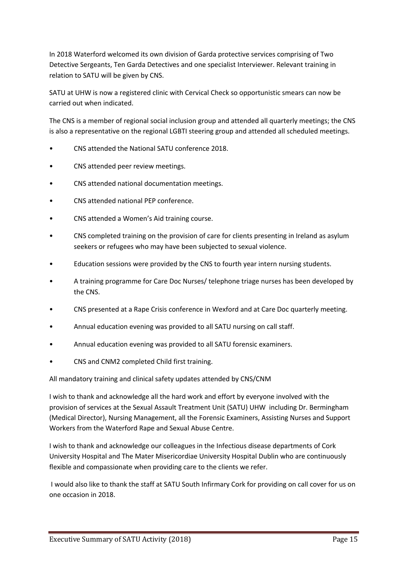In 2018 Waterford welcomed its own division of Garda protective services comprising of Two Detective Sergeants, Ten Garda Detectives and one specialist Interviewer. Relevant training in relation to SATU will be given by CNS.

SATU at UHW is now a registered clinic with Cervical Check so opportunistic smears can now be carried out when indicated.

The CNS is a member of regional social inclusion group and attended all quarterly meetings; the CNS is also a representative on the regional LGBTI steering group and attended all scheduled meetings.

- CNS attended the National SATU conference 2018.
- CNS attended peer review meetings.
- CNS attended national documentation meetings.
- CNS attended national PEP conference.
- CNS attended a Women's Aid training course.
- CNS completed training on the provision of care for clients presenting in Ireland as asylum seekers or refugees who may have been subjected to sexual violence.
- Education sessions were provided by the CNS to fourth year intern nursing students.
- A training programme for Care Doc Nurses/ telephone triage nurses has been developed by the CNS.
- CNS presented at a Rape Crisis conference in Wexford and at Care Doc quarterly meeting.
- Annual education evening was provided to all SATU nursing on call staff.
- Annual education evening was provided to all SATU forensic examiners.
- CNS and CNM2 completed Child first training.

All mandatory training and clinical safety updates attended by CNS/CNM

I wish to thank and acknowledge all the hard work and effort by everyone involved with the provision of services at the Sexual Assault Treatment Unit (SATU) UHW including Dr. Bermingham (Medical Director), Nursing Management, all the Forensic Examiners, Assisting Nurses and Support Workers from the Waterford Rape and Sexual Abuse Centre.

I wish to thank and acknowledge our colleagues in the Infectious disease departments of Cork University Hospital and The Mater Misericordiae University Hospital Dublin who are continuously flexible and compassionate when providing care to the clients we refer.

I would also like to thank the staff at SATU South Infirmary Cork for providing on call cover for us on one occasion in 2018.